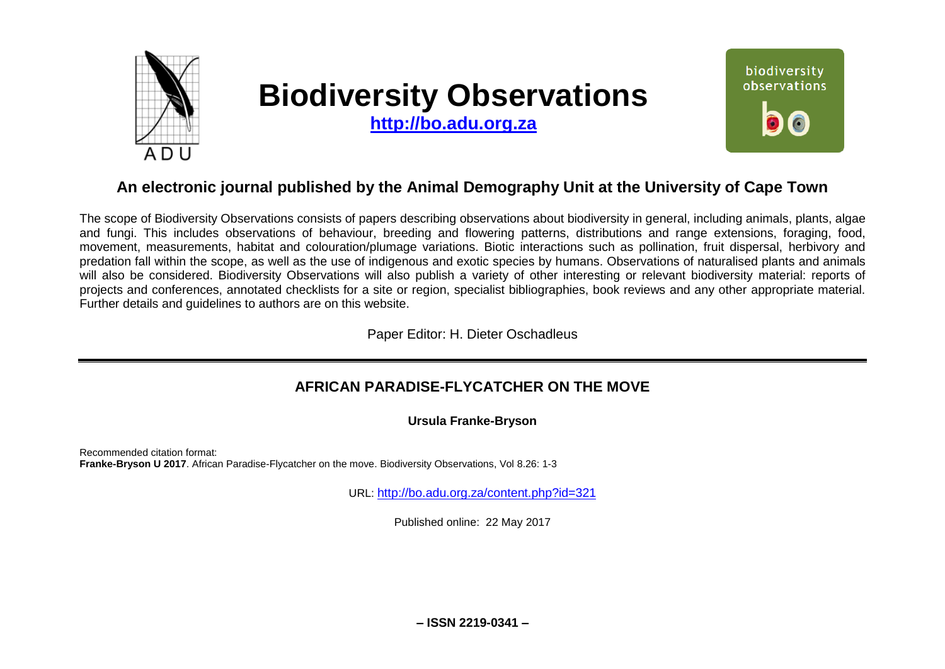

# **Biodiversity Observations**

**[http://bo.adu.org.za](http://bo.adu.org.za/)**



# **An electronic journal published by the Animal Demography Unit at the University of Cape Town**

The scope of Biodiversity Observations consists of papers describing observations about biodiversity in general, including animals, plants, algae and fungi. This includes observations of behaviour, breeding and flowering patterns, distributions and range extensions, foraging, food, movement, measurements, habitat and colouration/plumage variations. Biotic interactions such as pollination, fruit dispersal, herbivory and predation fall within the scope, as well as the use of indigenous and exotic species by humans. Observations of naturalised plants and animals will also be considered. Biodiversity Observations will also publish a variety of other interesting or relevant biodiversity material: reports of projects and conferences, annotated checklists for a site or region, specialist bibliographies, book reviews and any other appropriate material. Further details and guidelines to authors are on this website.

Paper Editor: H. Dieter Oschadleus

## **AFRICAN PARADISE-FLYCATCHER ON THE MOVE**

**Ursula Franke-Bryson**

Recommended citation format: **Franke-Bryson U 2017**. African Paradise-Flycatcher on the move. Biodiversity Observations, Vol 8.26: 1-3

URL: <http://bo.adu.org.za/content.php?id=321>

Published online: 22 May 2017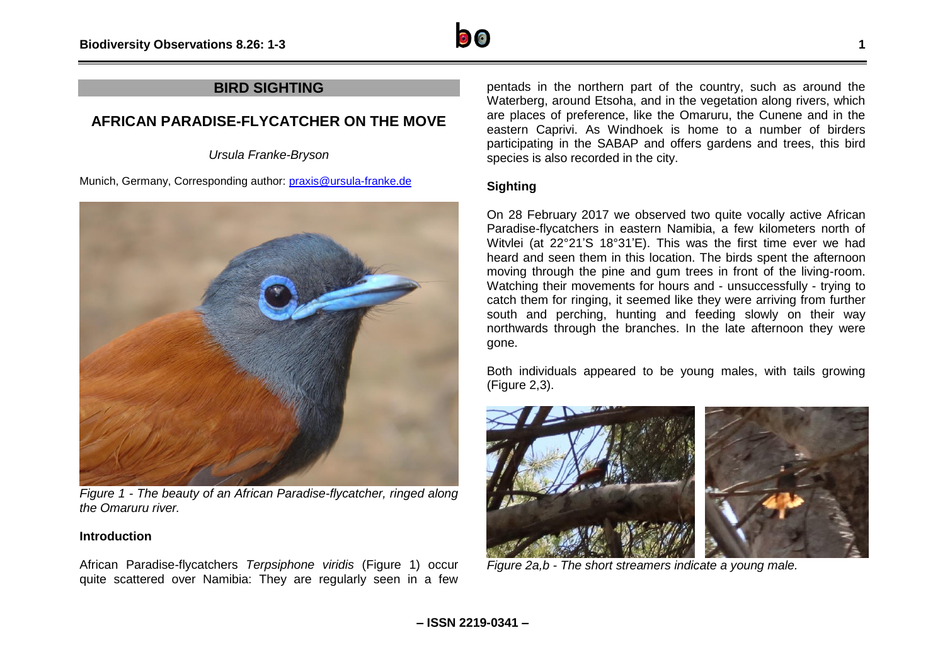

### **BIRD SIGHTING**

## **AFRICAN PARADISE-FLYCATCHER ON THE MOVE**

*Ursula Franke-Bryson*

Munich, Germany, Corresponding author: [praxis@ursula-franke.de](mailto:praxis@ursula-franke.de)



*Figure 1 - The beauty of an African Paradise-flycatcher, ringed along the Omaruru river.*

#### **Introduction**

African Paradise-flycatchers *Terpsiphone viridis* (Figure 1) occur quite scattered over Namibia: They are regularly seen in a few

pentads in the northern part of the country, such as around the Waterberg, around Etsoha, and in the vegetation along rivers, which are places of preference, like the Omaruru, the Cunene and in the eastern Caprivi. As Windhoek is home to a number of birders participating in the SABAP and offers gardens and trees, this bird species is also recorded in the city.

#### **Sighting**

On 28 February 2017 we observed two quite vocally active African Paradise-flycatchers in eastern Namibia, a few kilometers north of Witvlei (at 22°21'S 18°31'E). This was the first time ever we had heard and seen them in this location. The birds spent the afternoon moving through the pine and gum trees in front of the living-room. Watching their movements for hours and - unsuccessfully - trying to catch them for ringing, it seemed like they were arriving from further south and perching, hunting and feeding slowly on their way northwards through the branches. In the late afternoon they were gone.

Both individuals appeared to be young males, with tails growing (Figure 2,3).



*Figure 2a,b - The short streamers indicate a young male.*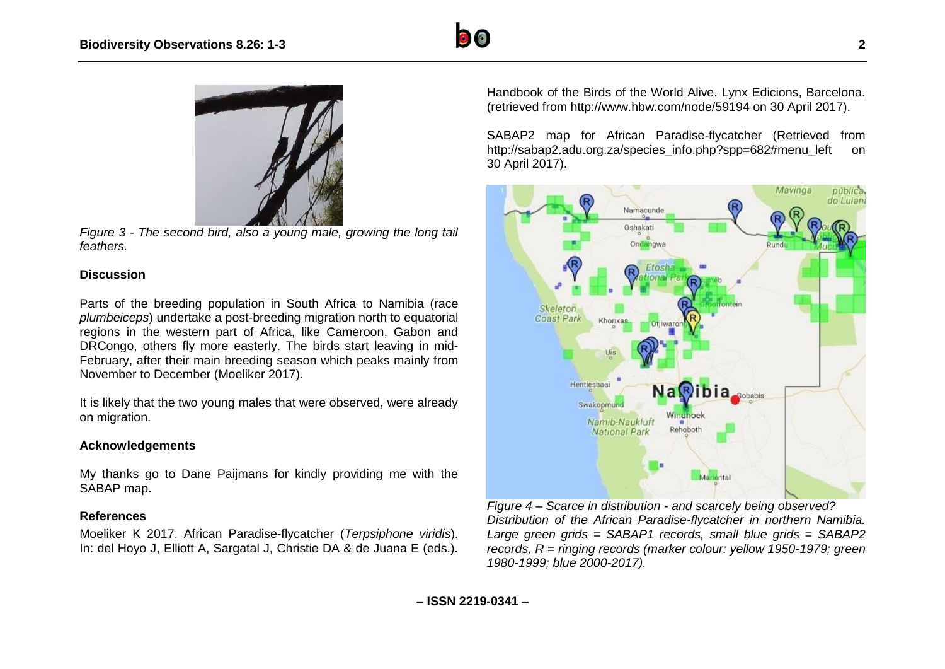



*Figure 3 - The second bird, also a young male, growing the long tail feathers.*

#### **Discussion**

Parts of the breeding population in South Africa to Namibia (race *plumbeiceps*) undertake a post-breeding migration north to equatorial regions in the western part of Africa, like Cameroon, Gabon and DRCongo, others fly more easterly. The birds start leaving in mid-February, after their main breeding season which peaks mainly from November to December (Moeliker 2017).

It is likely that the two young males that were observed, were already on migration.

#### **Acknowledgements**

My thanks go to Dane Paijmans for kindly providing me with the SABAP map.

#### **References**

Moeliker K 2017. African Paradise-flycatcher (*Terpsiphone viridis*). In: del Hoyo J, Elliott A, Sargatal J, Christie DA & de Juana E (eds.). Handbook of the Birds of the World Alive. Lynx Edicions, Barcelona. (retrieved from http://www.hbw.com/node/59194 on 30 April 2017).

SABAP2 map for African Paradise-flycatcher (Retrieved from http://sabap2.adu.org.za/species\_info.php?spp=682#menu\_left on 30 April 2017).



*Figure 4 – Scarce in distribution - and scarcely being observed? Distribution of the African Paradise-flycatcher in northern Namibia. Large green grids = SABAP1 records, small blue grids = SABAP2 records, R = ringing records (marker colour: yellow 1950-1979; green 1980-1999; blue 2000-2017).*